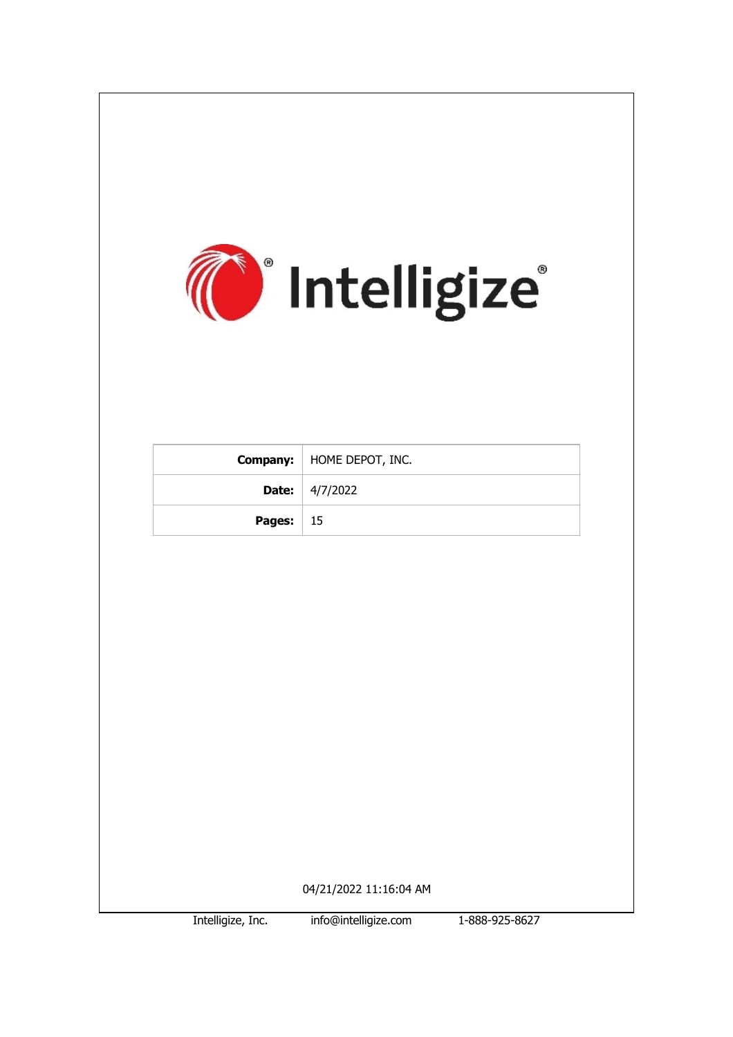

Intelligize, Inc. info@intelligize.com 1-888-925-8627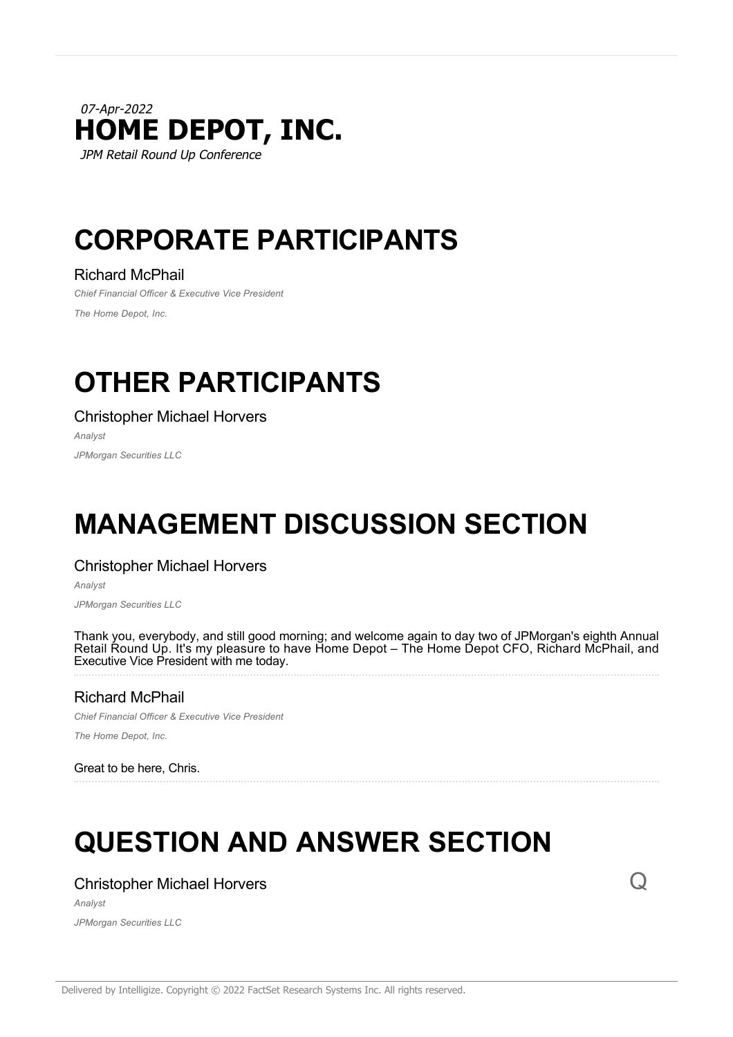# 07-Apr-2022 **HOME DEPOT, INC.** JPM Retail Round Up Conference

# **CORPORATE PARTICIPANTS**

# Richard McPhail

*Chief Financial Officer & Executive Vice President The Home Depot, Inc.*

# **OTHER PARTICIPANTS**

Christopher Michael Horvers

*Analyst*

*JPMorgan Securities LLC*

# **MANAGEMENT DISCUSSION SECTION**

# Christopher Michael Horvers

*Analyst*

*JPMorgan Securities LLC*

Thank you, everybody, and still good morning; and welcome again to day two of JPMorgan's eighth Annual Retail Round Up. It's my pleasure to have Home Depot – The Home Depot CFO, Richard McPhail, and Executive Vice President with me today.

# Richard McPhail

*Chief Financial Officer & Executive Vice President*

*The Home Depot, Inc.*

Great to be here, Chris.

# **QUESTION AND ANSWER SECTION**

# Christopher Michael Horvers

*Analyst JPMorgan Securities LLC*  $\Omega$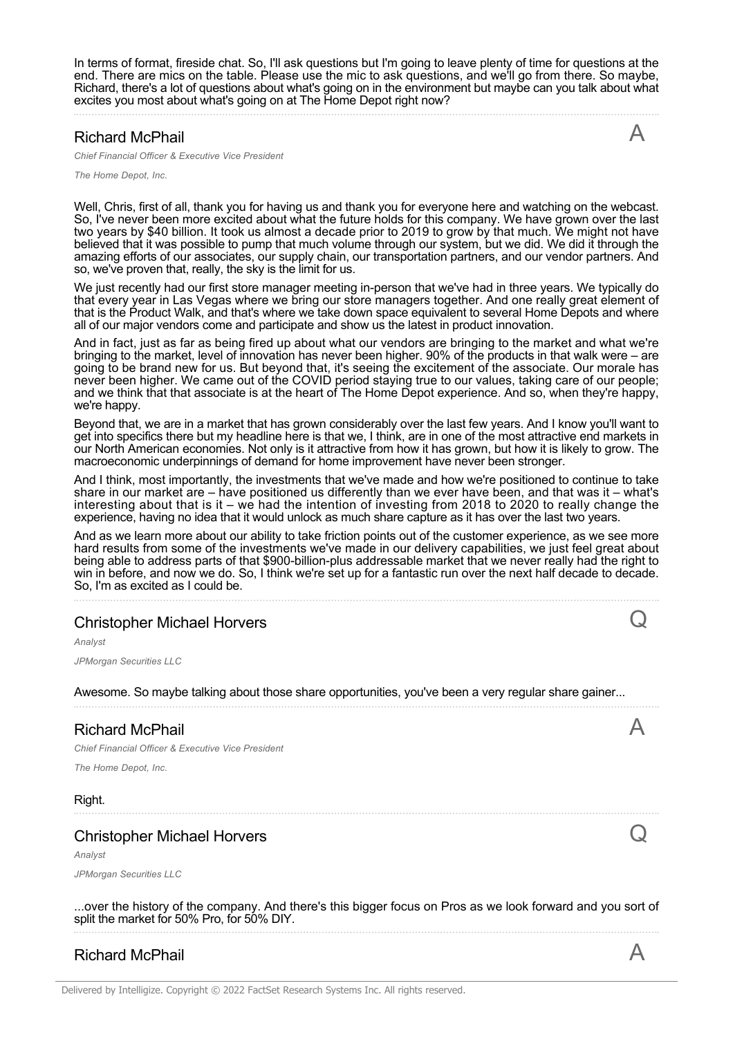In terms of format, fireside chat. So, I'll ask questions but I'm going to leave plenty of time for questions at the end. There are mics on the table. Please use the mic to ask questions, and we'll go from there. So maybe, Richard, there's a lot of questions about what's going on in the environment but maybe can you talk about what excites you most about what's going on at The Home Depot right now?

#### Richard McPhail

*Chief Financial Officer & Executive Vice President*

*The Home Depot, Inc.*

Well, Chris, first of all, thank you for having us and thank you for everyone here and watching on the webcast. So, I've never been more excited about what the future holds for this company. We have grown over the last two years by \$40 billion. It took us almost a decade prior to 2019 to grow by that much. We might not have believed that it was possible to pump that much volume through our system, but we did. We did it through the amazing efforts of our associates, our supply chain, our transportation partners, and our vendor partners. And so, we've proven that, really, the sky is the limit for us.

We just recently had our first store manager meeting in-person that we've had in three years. We typically do that every year in Las Vegas where we bring our store managers together. And one really great element of that is the Product Walk, and that's where we take down space equivalent to several Home Depots and where all of our major vendors come and participate and show us the latest in product innovation.

And in fact, just as far as being fired up about what our vendors are bringing to the market and what we're bringing to the market, level of innovation has never been higher. 90% of the products in that walk were – are going to be brand new for us. But beyond that, it's seeing the excitement of the associate. Our morale has never been higher. We came out of the COVID period staying true to our values, taking care of our people; and we think that that associate is at the heart of The Home Depot experience. And so, when they're happy, we're happy.

Beyond that, we are in a market that has grown considerably over the last few years. And I know you'll want to get into specifics there but my headline here is that we, I think, are in one of the most attractive end markets in our North American economies. Not only is it attractive from how it has grown, but how it is likely to grow. The macroeconomic underpinnings of demand for home improvement have never been stronger.

And I think, most importantly, the investments that we've made and how we're positioned to continue to take share in our market are – have positioned us differently than we ever have been, and that was it – what's interesting about that is it – we had the intention of investing from 2018 to 2020 to really change the experience, having no idea that it would unlock as much share capture as it has over the last two years.

And as we learn more about our ability to take friction points out of the customer experience, as we see more hard results from some of the investments we've made in our delivery capabilities, we just feel great about being able to address parts of that \$900-billion-plus addressable market that we never really had the right to win in before, and now we do. So, I think we're set up for a fantastic run over the next half decade to decade. So, I'm as excited as I could be.

# Christopher Michael Horvers

*Analyst JPMorgan Securities LLC*

Awesome. So maybe talking about those share opportunities, you've been a very regular share gainer...

### Richard McPhail

*Chief Financial Officer & Executive Vice President*

*The Home Depot, Inc.*

Right.

# Christopher Michael Horvers

*Analyst*

*JPMorgan Securities LLC*

...over the history of the company. And there's this bigger focus on Pros as we look forward and you sort of split the market for 50% Pro, for 50% DIY.

# Richard McPhail **A**



Q

A

 $\rm{O}$ 

 $\triangleright$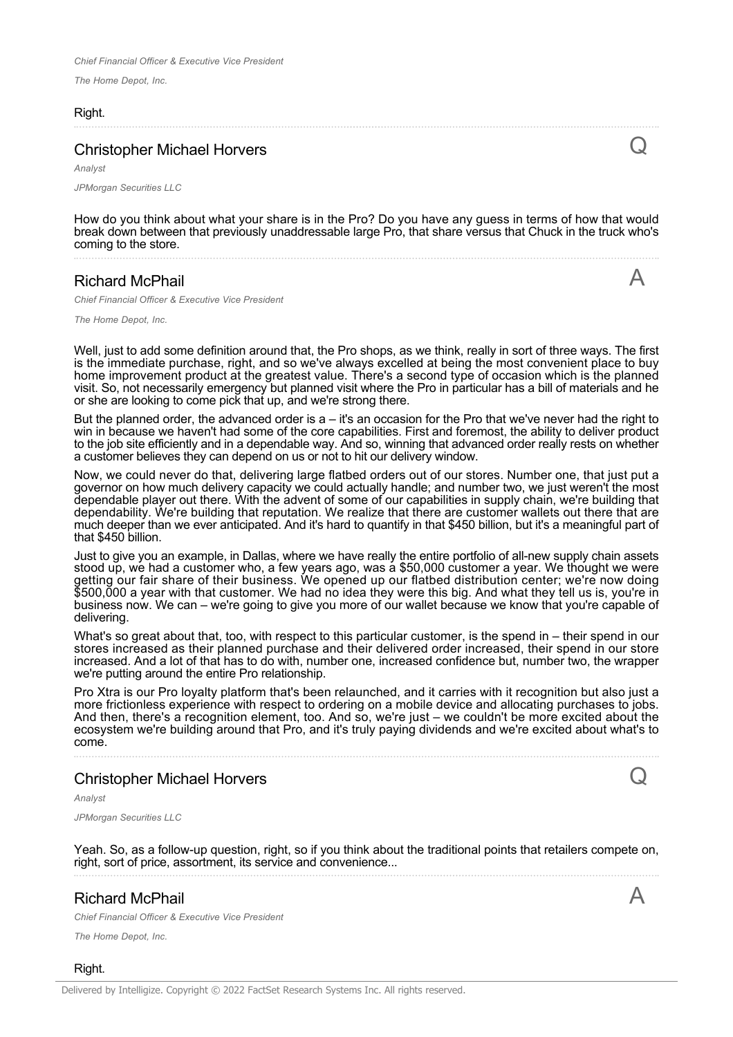*The Home Depot, Inc.*

#### Right.

 $\mathsf C$ 

A

#### Christopher Michael Horvers

*Analyst JPMorgan Securities LLC*

How do you think about what your share is in the Pro? Do you have any guess in terms of how that would break down between that previously unaddressable large Pro, that share versus that Chuck in the truck who's coming to the store.

#### Richard McPhail

*Chief Financial Officer & Executive Vice President*

*The Home Depot, Inc.*

Well, just to add some definition around that, the Pro shops, as we think, really in sort of three ways. The first is the immediate purchase, right, and so we've always excelled at being the most convenient place to buy home improvement product at the greatest value. There's a second type of occasion which is the planned visit. So, not necessarily emergency but planned visit where the Pro in particular has a bill of materials and he or she are looking to come pick that up, and we're strong there.

But the planned order, the advanced order is  $a - it's$  an occasion for the Pro that we've never had the right to win in because we haven't had some of the core capabilities. First and foremost, the ability to deliver product to the job site efficiently and in a dependable way. And so, winning that advanced order really rests on whether a customer believes they can depend on us or not to hit our delivery window.

Now, we could never do that, delivering large flatbed orders out of our stores. Number one, that just put a governor on how much delivery capacity we could actually handle; and number two, we just weren't the most dependable player out there. With the advent of some of our capabilities in supply chain, we're building that dependability. We're building that reputation. We realize that there are customer wallets out there that are much deeper than we ever anticipated. And it's hard to quantify in that \$450 billion, but it's a meaningful part of that \$450 billion.

Just to give you an example, in Dallas, where we have really the entire portfolio of all-new supply chain assets stood up, we had a customer who, a few years ago, was a \$50,000 customer a year. We thought we were getting our fair share of their business. We opened up our flatbed distribution center; we're now doing \$500,000 a year with that customer. We had no idea they were this big. And what they tell us is, you're in business now. We can – we're going to give you more of our wallet because we know that you're capable of delivering.

What's so great about that, too, with respect to this particular customer, is the spend in – their spend in our stores increased as their planned purchase and their delivered order increased, their spend in our store increased. And a lot of that has to do with, number one, increased confidence but, number two, the wrapper we're putting around the entire Pro relationship.

Pro Xtra is our Pro loyalty platform that's been relaunched, and it carries with it recognition but also just a more frictionless experience with respect to ordering on a mobile device and allocating purchases to jobs. And then, there's a recognition element, too. And so, we're just – we couldn't be more excited about the ecosystem we're building around that Pro, and it's truly paying dividends and we're excited about what's to come.

### Christopher Michael Horvers

*Analyst*

*JPMorgan Securities LLC*

Yeah. So, as a follow-up question, right, so if you think about the traditional points that retailers compete on, right, sort of price, assortment, its service and convenience...

# Richard McPhail

*Chief Financial Officer & Executive Vice President*

*The Home Depot, Inc.*

Right.

A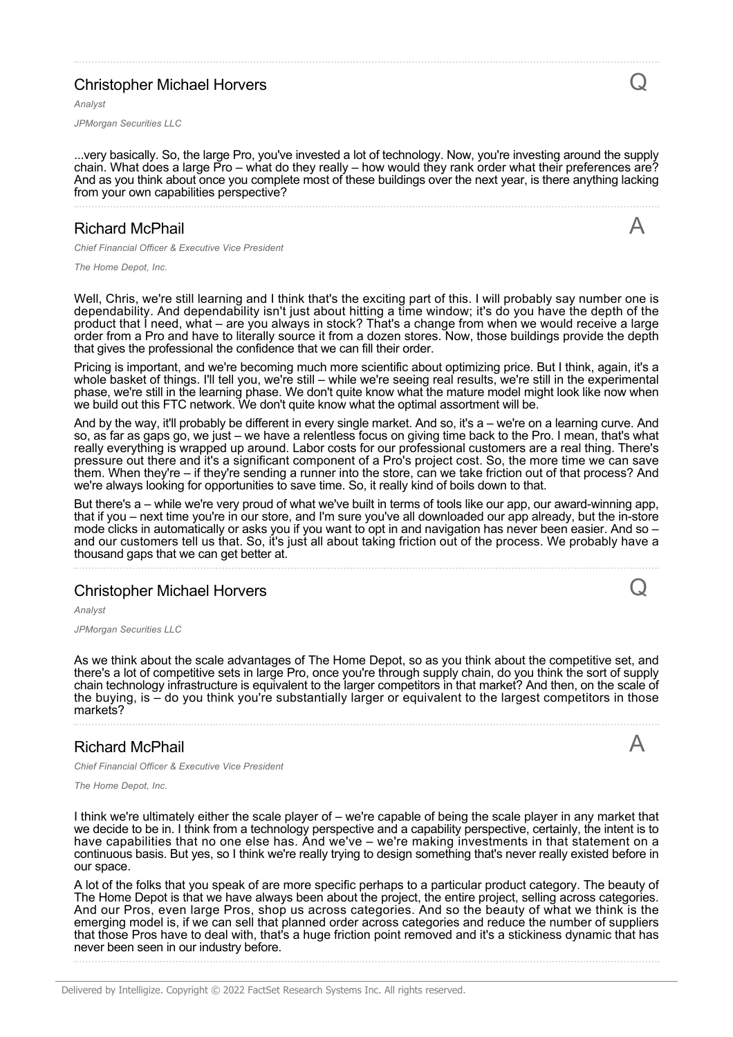# Christopher Michael Horvers

*Analyst*

*JPMorgan Securities LLC*

...very basically. So, the large Pro, you've invested a lot of technology. Now, you're investing around the supply chain. What does a large Pro – what do they really – how would they rank order what their preferences are? And as you think about once you complete most of these buildings over the next year, is there anything lacking from your own capabilities perspective?

# Richard McPhail

*Chief Financial Officer & Executive Vice President*

*The Home Depot, Inc.*

Well, Chris, we're still learning and I think that's the exciting part of this. I will probably say number one is dependability. And dependability isn't just about hitting a time window; it's do you have the depth of the product that I need, what – are you always in stock? That's a change from when we would receive a large order from a Pro and have to literally source it from a dozen stores. Now, those buildings provide the depth that gives the professional the confidence that we can fill their order.

Pricing is important, and we're becoming much more scientific about optimizing price. But I think, again, it's a whole basket of things. I'll tell you, we're still – while we're seeing real results, we're still in the experimental phase, we're still in the learning phase. We don't quite know what the mature model might look like now when we build out this FTC network. We don't quite know what the optimal assortment will be.

And by the way, it'll probably be different in every single market. And so, it's a – we're on a learning curve. And so, as far as gaps go, we just – we have a relentless focus on giving time back to the Pro. I mean, that's what really everything is wrapped up around. Labor costs for our professional customers are a real thing. There's pressure out there and it's a significant component of a Pro's project cost. So, the more time we can save them. When they're – if they're sending a runner into the store, can we take friction out of that process? And we're always looking for opportunities to save time. So, it really kind of boils down to that.

But there's a – while we're very proud of what we've built in terms of tools like our app, our award-winning app, that if you – next time you're in our store, and I'm sure you've all downloaded our app already, but the in-store mode clicks in automatically or asks you if you want to opt in and navigation has never been easier. And so – and our customers tell us that. So, it's just all about taking friction out of the process. We probably have a thousand gaps that we can get better at.

### Christopher Michael Horvers

*Analyst*

*JPMorgan Securities LLC*

As we think about the scale advantages of The Home Depot, so as you think about the competitive set, and there's a lot of competitive sets in large Pro, once you're through supply chain, do you think the sort of supply chain technology infrastructure is equivalent to the larger competitors in that market? And then, on the scale of the buying, is – do you think you're substantially larger or equivalent to the largest competitors in those markets?

### Richard McPhail

*Chief Financial Officer & Executive Vice President*

*The Home Depot, Inc.*

I think we're ultimately either the scale player of – we're capable of being the scale player in any market that we decide to be in. I think from a technology perspective and a capability perspective, certainly, the intent is to have capabilities that no one else has. And we've – we're making investments in that statement on a continuous basis. But yes, so I think we're really trying to design something that's never really existed before in our space.

A lot of the folks that you speak of are more specific perhaps to a particular product category. The beauty of The Home Depot is that we have always been about the project, the entire project, selling across categories. And our Pros, even large Pros, shop us across categories. And so the beauty of what we think is the emerging model is, if we can sell that planned order across categories and reduce the number of suppliers that those Pros have to deal with, that's a huge friction point removed and it's a stickiness dynamic that has never been seen in our industry before.

Delivered by Intelligize. Copyright © 2022 FactSet Research Systems Inc. All rights reserved.

A

Q

 $\overline{\mathsf{A}}$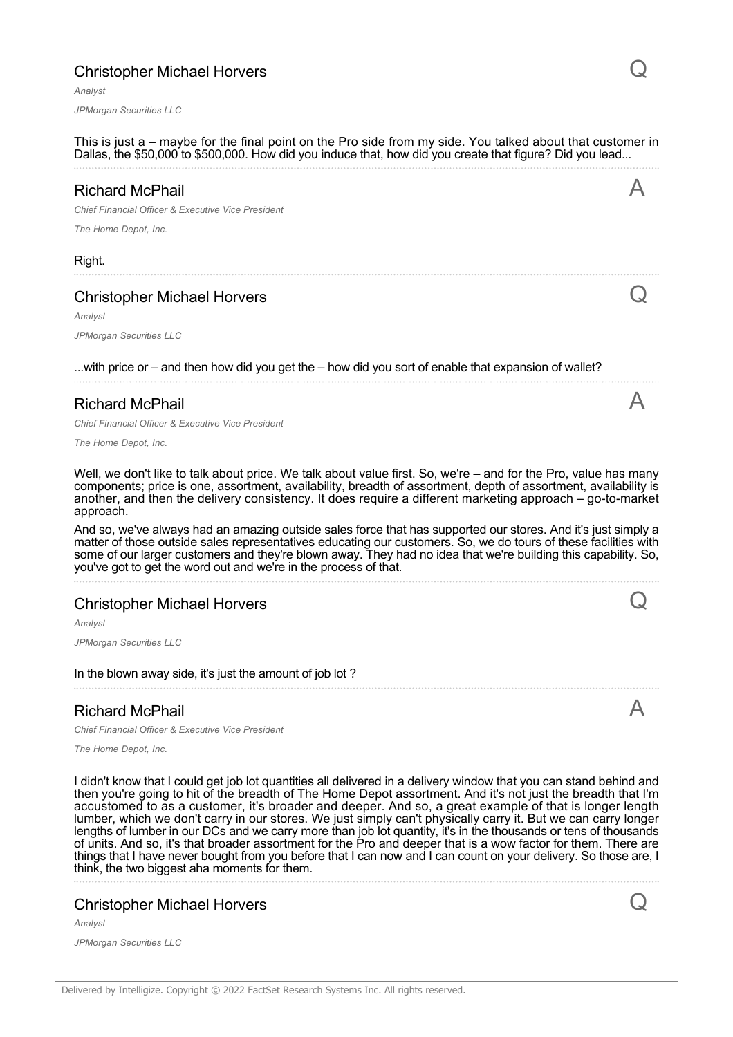# Christopher Michael Horvers

*Analyst*

*JPMorgan Securities LLC*

This is just a – maybe for the final point on the Pro side from my side. You talked about that customer in Dallas, the \$50,000 to \$500,000. How did you induce that, how did you create that figure? Did you lead... Richard McPhail *Chief Financial Officer & Executive Vice President The Home Depot, Inc.* A Right. Christopher Michael Horvers *Analyst JPMorgan Securities LLC* Q ...with price or – and then how did you get the – how did you sort of enable that expansion of wallet? Richard McPhail *Chief Financial Officer & Executive Vice President The Home Depot, Inc.* A Well, we don't like to talk about price. We talk about value first. So, we're – and for the Pro, value has many components; price is one, assortment, availability, breadth of assortment, depth of assortment, availability is another, and then the delivery consistency. It does require a different marketing approach – go-to-market approach. And so, we've always had an amazing outside sales force that has supported our stores. And it's just simply a matter of those outside sales representatives educating our customers. So, we do tours of these facilities with some of our larger customers and they're blown away. They had no idea that we're building this capability. So, you've got to get the word out and we're in the process of that. Christopher Michael Horvers *Analyst JPMorgan Securities LLC* Q In the blown away side, it's just the amount of job lot? Richard McPhail *Chief Financial Officer & Executive Vice President The Home Depot, Inc.*  $\bigwedge$ I didn't know that I could get job lot quantities all delivered in a delivery window that you can stand behind and then you're going to hit of the breadth of The Home Depot assortment. And it's not just the breadth that I'm accustomed to as a customer, it's broader and deeper. And so, a great example of that is longer length lumber, which we don't carry in our stores. We just simply can't physically carry it. But we can carry longer lengths of lumber in our DCs and we carry more than job lot quantity, it's in the thousands or tens of thousands of units. And so, it's that broader assortment for the Pro and deeper that is a wow factor for them. There are things that I have never bought from you before that I can now and I can count on your delivery. So those are, I think, the two biggest aha moments for them.

### Christopher Michael Horvers

*Analyst*

*JPMorgan Securities LLC*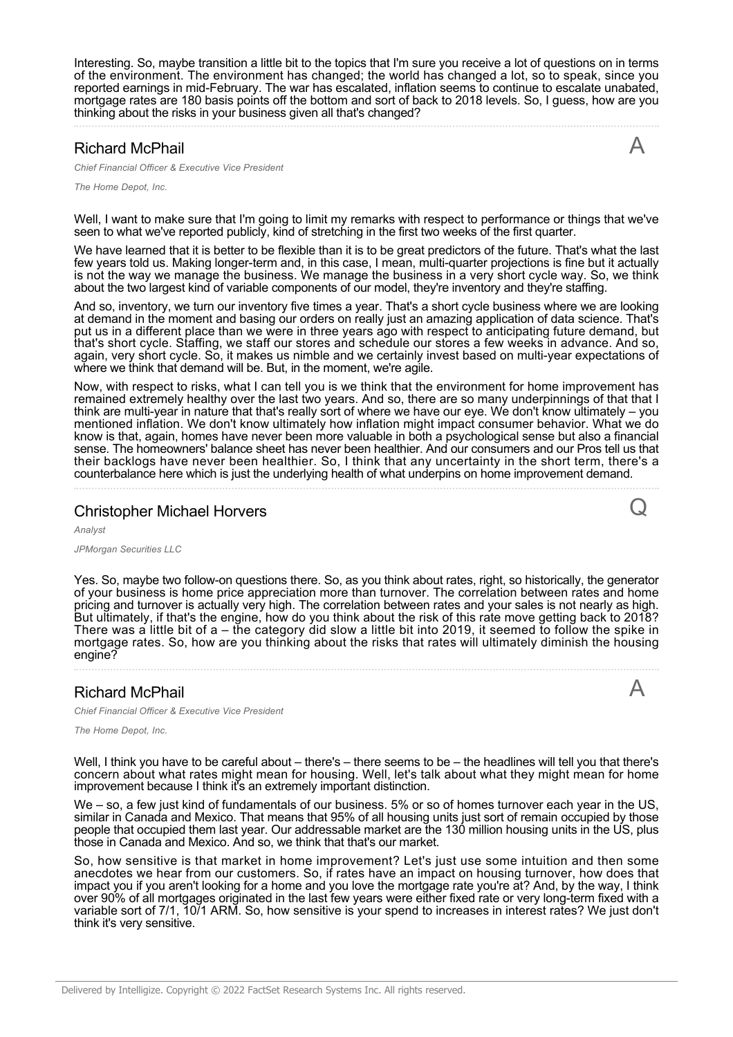Interesting. So, maybe transition a little bit to the topics that I'm sure you receive a lot of questions on in terms of the environment. The environment has changed; the world has changed a lot, so to speak, since you reported earnings in mid-February. The war has escalated, inflation seems to continue to escalate unabated, mortgage rates are 180 basis points off the bottom and sort of back to 2018 levels. So, I guess, how are you thinking about the risks in your business given all that's changed?

#### Richard McPhail

*Chief Financial Officer & Executive Vice President*

*The Home Depot, Inc.*

Well, I want to make sure that I'm going to limit my remarks with respect to performance or things that we've seen to what we've reported publicly, kind of stretching in the first two weeks of the first quarter.

We have learned that it is better to be flexible than it is to be great predictors of the future. That's what the last few years told us. Making longer-term and, in this case, I mean, multi-quarter projections is fine but it actually is not the way we manage the business. We manage the business in a very short cycle way. So, we think about the two largest kind of variable components of our model, they're inventory and they're staffing.

And so, inventory, we turn our inventory five times a year. That's a short cycle business where we are looking at demand in the moment and basing our orders on really just an amazing application of data science. That's put us in a different place than we were in three years ago with respect to anticipating future demand, but that's short cycle. Staffing, we staff our stores and schedule our stores a few weeks in advance. And so, again, very short cycle. So, it makes us nimble and we certainly invest based on multi-year expectations of where we think that demand will be. But, in the moment, we're agile.

Now, with respect to risks, what I can tell you is we think that the environment for home improvement has remained extremely healthy over the last two years. And so, there are so many underpinnings of that that I think are multi-year in nature that that's really sort of where we have our eye. We don't know ultimately – you mentioned inflation. We don't know ultimately how inflation might impact consumer behavior. What we do know is that, again, homes have never been more valuable in both a psychological sense but also a financial sense. The homeowners' balance sheet has never been healthier. And our consumers and our Pros tell us that their backlogs have never been healthier. So, I think that any uncertainty in the short term, there's a counterbalance here which is just the underlying health of what underpins on home improvement demand.

# Christopher Michael Horvers

*Analyst*

*JPMorgan Securities LLC*

Yes. So, maybe two follow-on questions there. So, as you think about rates, right, so historically, the generator of your business is home price appreciation more than turnover. The correlation between rates and home pricing and turnover is actually very high. The correlation between rates and your sales is not nearly as high. But ultimately, if that's the engine, how do you think about the risk of this rate move getting back to 2018? There was a little bit of a – the category did slow a little bit into 2019, it seemed to follow the spike in mortgage rates. So, how are you thinking about the risks that rates will ultimately diminish the housing engine?

#### Richard McPhail

*Chief Financial Officer & Executive Vice President*

*The Home Depot, Inc.*

Well, I think you have to be careful about – there's – there seems to be – the headlines will tell you that there's concern about what rates might mean for housing. Well, let's talk about what they might mean for home improvement because I think it's an extremely important distinction.

We – so, a few just kind of fundamentals of our business. 5% or so of homes turnover each year in the US, similar in Canada and Mexico. That means that 95% of all housing units just sort of remain occupied by those people that occupied them last year. Our addressable market are the 130 million housing units in the US, plus those in Canada and Mexico. And so, we think that that's our market.

So, how sensitive is that market in home improvement? Let's just use some intuition and then some anecdotes we hear from our customers. So, if rates have an impact on housing turnover, how does that impact you if you aren't looking for a home and you love the mortgage rate you're at? And, by the way, I think over 90% of all mortgages originated in the last few years were either fixed rate or very long-term fixed with a variable sort of 7/1, 10/1 ARM. So, how sensitive is your spend to increases in interest rates? We just don't think it's very sensitive.



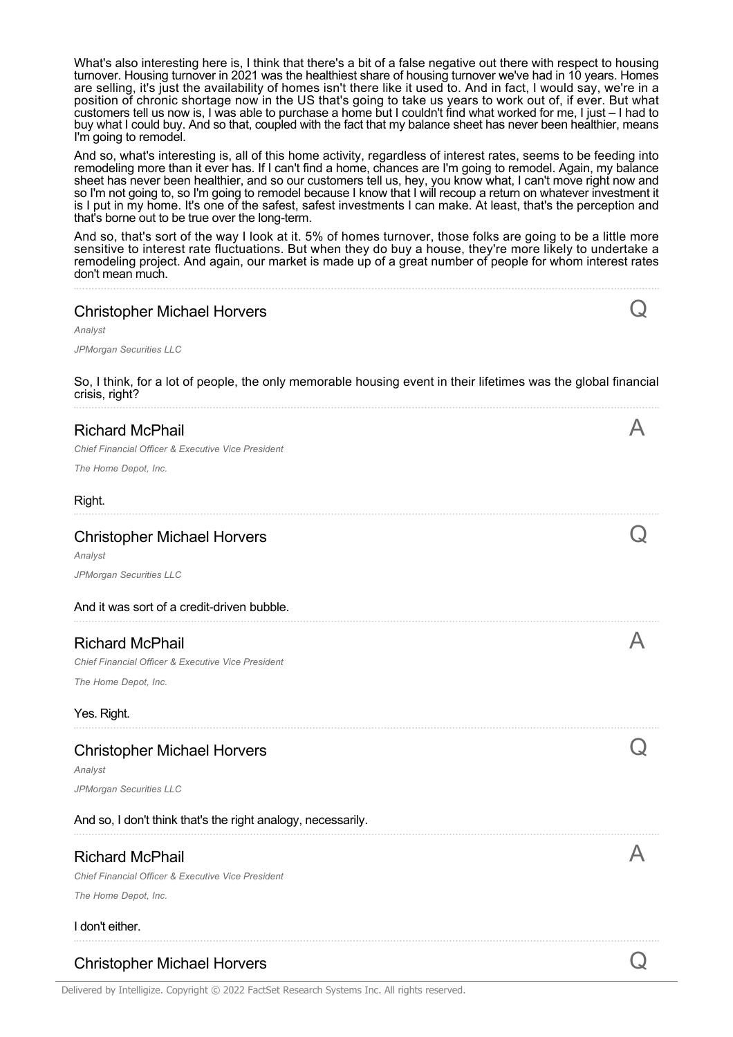What's also interesting here is, I think that there's a bit of a false negative out there with respect to housing turnover. Housing turnover in 2021 was the healthiest share of housing turnover we've had in 10 years. Homes are selling, it's just the availability of homes isn't there like it used to. And in fact, I would say, we're in a position of chronic shortage now in the US that's going to take us years to work out of, if ever. But what customers tell us now is, I was able to purchase a home but I couldn't find what worked for me, I just – I had to buy what I could buy. And so that, coupled with the fact that my balance sheet has never been healthier, means I'm going to remodel.

And so, what's interesting is, all of this home activity, regardless of interest rates, seems to be feeding into remodeling more than it ever has. If I can't find a home, chances are I'm going to remodel. Again, my balance sheet has never been healthier, and so our customers tell us, hey, you know what, I can't move right now and so I'm not going to, so I'm going to remodel because I know that I will recoup a return on whatever investment it is I put in my home. It's one of the safest, safest investments I can make. At least, that's the perception and that's borne out to be true over the long-term.

And so, that's sort of the way I look at it. 5% of homes turnover, those folks are going to be a little more sensitive to interest rate fluctuations. But when they do buy a house, they're more likely to undertake a remodeling project. And again, our market is made up of a great number of people for whom interest rates don't mean much.

Q

A

 $\overline{a}$ 

 $\boldsymbol{\mathsf{A}}$ 

 $\bigcirc$ 

A

# Christopher Michael Horvers

*Analyst*

*JPMorgan Securities LLC*

So, I think, for a lot of people, the only memorable housing event in their lifetimes was the global financial crisis, right?

# Richard McPhail

*Chief Financial Officer & Executive Vice President*

*The Home Depot, Inc.*

#### Right.

#### Christopher Michael Horvers

*Analyst JPMorgan Securities LLC*

#### And it was sort of a credit-driven bubble.

# Richard McPhail

*Chief Financial Officer & Executive Vice President The Home Depot, Inc.*

#### Yes. Right.

# Christopher Michael Horvers

*Analyst JPMorgan Securities LLC*

#### And so, I don't think that's the right analogy, necessarily.

# Richard McPhail

*Chief Financial Officer & Executive Vice President*

*The Home Depot, Inc.*

#### I don't either.

# Christopher Michael Horvers Quality of the Christopher Michael Horvers Quality of the Contract of Contract Contract O

Delivered by Intelligize. Copyright © 2022 FactSet Research Systems Inc. All rights reserved.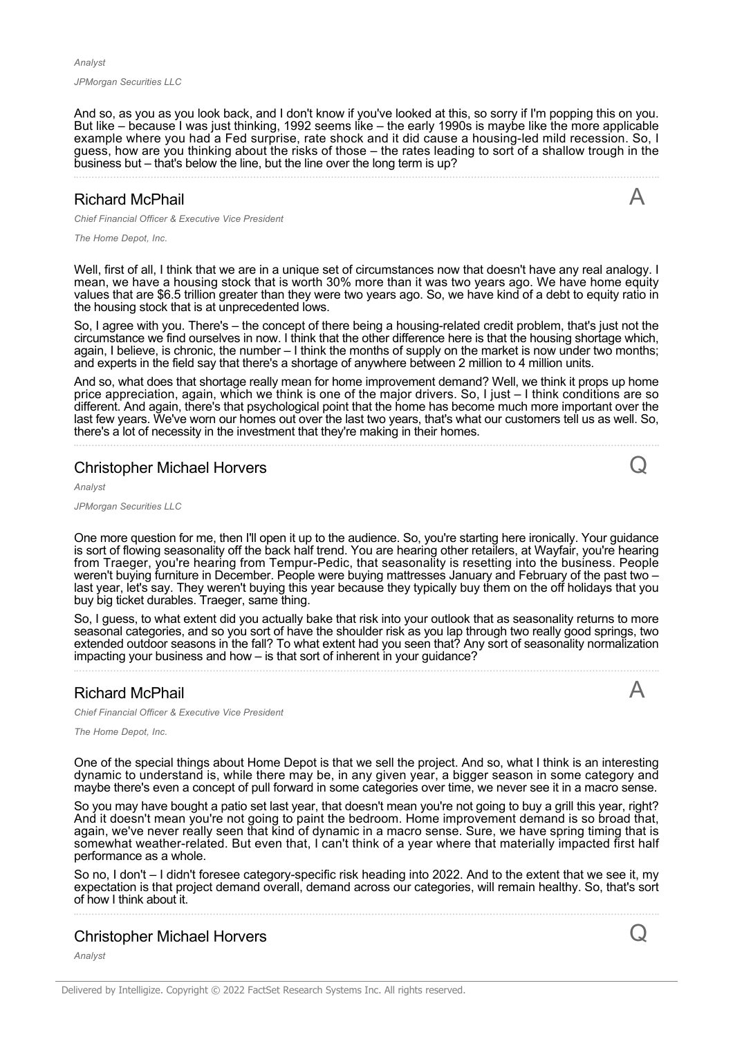*Analyst*

*JPMorgan Securities LLC*

And so, as you as you look back, and I don't know if you've looked at this, so sorry if I'm popping this on you. But like – because I was just thinking, 1992 seems like – the early 1990s is maybe like the more applicable example where you had a Fed surprise, rate shock and it did cause a housing-led mild recession. So, I guess, how are you thinking about the risks of those – the rates leading to sort of a shallow trough in the business but – that's below the line, but the line over the long term is up?

### Richard McPhail

A

Q

A

*Chief Financial Officer & Executive Vice President*

*The Home Depot, Inc.*

Well, first of all, I think that we are in a unique set of circumstances now that doesn't have any real analogy. I mean, we have a housing stock that is worth 30% more than it was two years ago. We have home equity values that are \$6.5 trillion greater than they were two years ago. So, we have kind of a debt to equity ratio in the housing stock that is at unprecedented lows.

So, I agree with you. There's – the concept of there being a housing-related credit problem, that's just not the circumstance we find ourselves in now. I think that the other difference here is that the housing shortage which, again, I believe, is chronic, the number – I think the months of supply on the market is now under two months; and experts in the field say that there's a shortage of anywhere between 2 million to 4 million units.

And so, what does that shortage really mean for home improvement demand? Well, we think it props up home price appreciation, again, which we think is one of the major drivers. So, I just – I think conditions are so different. And again, there's that psychological point that the home has become much more important over the last few years. We've worn our homes out over the last two years, that's what our customers tell us as well. So, there's a lot of necessity in the investment that they're making in their homes.

#### Christopher Michael Horvers

*Analyst*

*JPMorgan Securities LLC*

One more question for me, then I'll open it up to the audience. So, you're starting here ironically. Your guidance is sort of flowing seasonality off the back half trend. You are hearing other retailers, at Wayfair, you're hearing from Traeger, you're hearing from Tempur-Pedic, that seasonality is resetting into the business. People weren't buying furniture in December. People were buying mattresses January and February of the past two – last year, let's say. They weren't buying this year because they typically buy them on the off holidays that you buy big ticket durables. Traeger, same thing.

So, I guess, to what extent did you actually bake that risk into your outlook that as seasonality returns to more seasonal categories, and so you sort of have the shoulder risk as you lap through two really good springs, two extended outdoor seasons in the fall? To what extent had you seen that? Any sort of seasonality normalization impacting your business and how – is that sort of inherent in your guidance?

#### Richard McPhail

*Chief Financial Officer & Executive Vice President*

*The Home Depot, Inc.*

One of the special things about Home Depot is that we sell the project. And so, what I think is an interesting dynamic to understand is, while there may be, in any given year, a bigger season in some category and maybe there's even a concept of pull forward in some categories over time, we never see it in a macro sense.

So you may have bought a patio set last year, that doesn't mean you're not going to buy a grill this year, right? And it doesn't mean you're not going to paint the bedroom. Home improvement demand is so broad that, again, we've never really seen that kind of dynamic in a macro sense. Sure, we have spring timing that is somewhat weather-related. But even that, I can't think of a year where that materially impacted first half performance as a whole.

So no, I don't – I didn't foresee category-specific risk heading into 2022. And to the extent that we see it, my expectation is that project demand overall, demand across our categories, will remain healthy. So, that's sort of how I think about it.

#### Christopher Michael Horvers

*Analyst*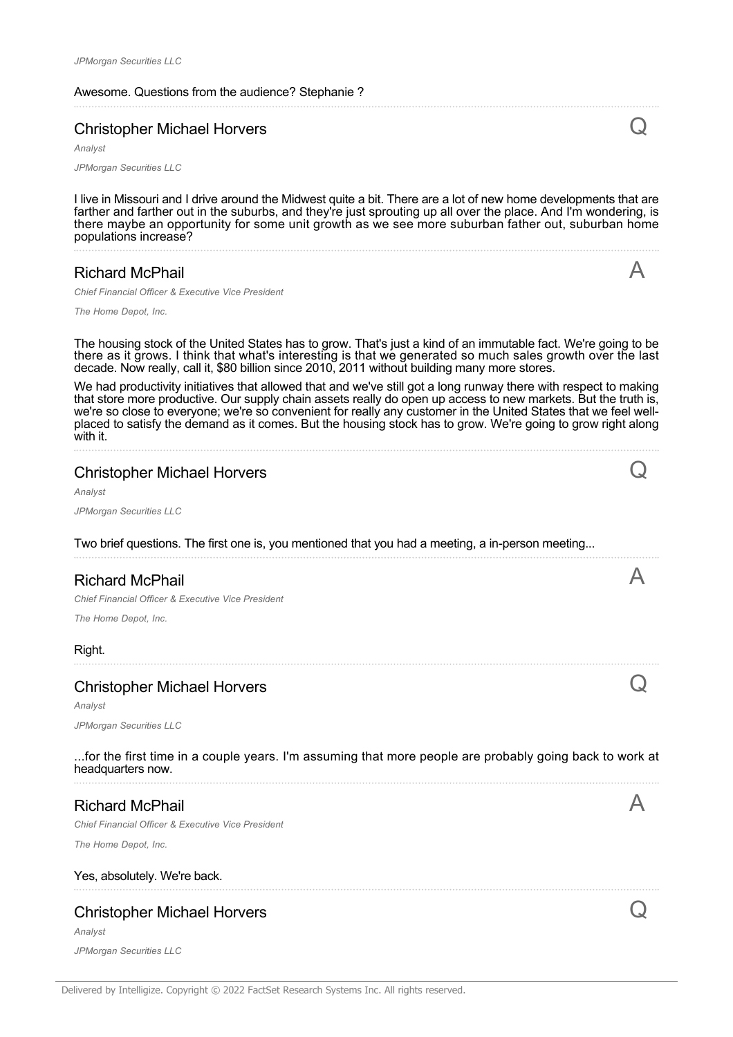Awesome. Questions from the audience? Stephanie ?

# Christopher Michael Horvers

*Analyst JPMorgan Securities LLC*

I live in Missouri and I drive around the Midwest quite a bit. There are a lot of new home developments that are farther and farther out in the suburbs, and they're just sprouting up all over the place. And I'm wondering, is there maybe an opportunity for some unit growth as we see more suburban father out, suburban home populations increase?

# Richard McPhail

A

 $\blacktriangle$ 

 $\bigcirc$ 

 $\bm{\mathsf{Q}}$ 

*Chief Financial Officer & Executive Vice President*

*The Home Depot, Inc.*

The housing stock of the United States has to grow. That's just a kind of an immutable fact. We're going to be there as it grows. I think that what's interesting is that we generated so much sales growth over the last decade. Now really, call it, \$80 billion since 2010, 2011 without building many more stores.

We had productivity initiatives that allowed that and we've still got a long runway there with respect to making that store more productive. Our supply chain assets really do open up access to new markets. But the truth is, we're so close to everyone; we're so convenient for really any customer in the United States that we feel wellplaced to satisfy the demand as it comes. But the housing stock has to grow. We're going to grow right along with it.

| <b>Christopher Michael Horvers</b><br>Analyst                                                    |  |  |
|--------------------------------------------------------------------------------------------------|--|--|
| <b>JPMorgan Securities LLC</b>                                                                   |  |  |
| Two brief questions. The first one is, you mentioned that you had a meeting, a in-person meeting |  |  |
| <b>Richard McPhail</b>                                                                           |  |  |
| Chief Financial Officer & Executive Vice President                                               |  |  |
| The Home Depot, Inc.                                                                             |  |  |
| Right.                                                                                           |  |  |
| <b>Christopher Michael Horvers</b>                                                               |  |  |

Christopher Michael Horvers

*Analyst JPMorgan Securities LLC*

...for the first time in a couple years. I'm assuming that more people are probably going back to work at headquarters now.

# Richard McPhail

*Chief Financial Officer & Executive Vice President*

*The Home Depot, Inc.*

#### Yes, absolutely. We're back.

# Christopher Michael Horvers

*Analyst JPMorgan Securities LLC*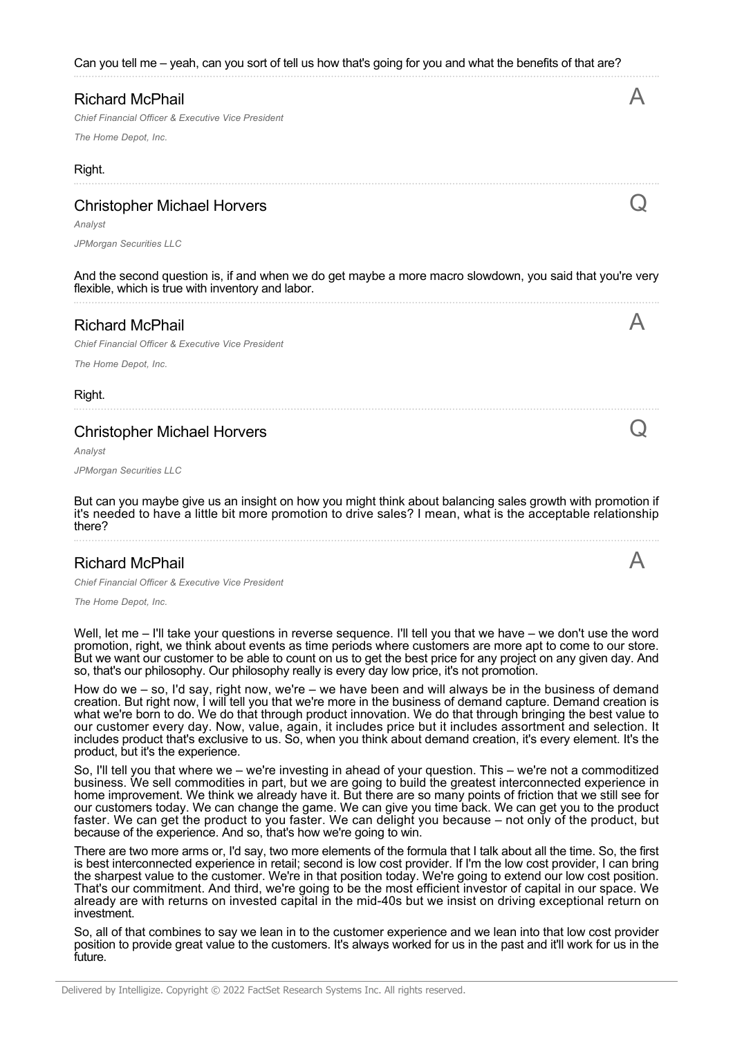Can you tell me – yeah, can you sort of tell us how that's going for you and what the benefits of that are?

| <b>Richard McPhail</b>                                                                                                                                        |  |
|---------------------------------------------------------------------------------------------------------------------------------------------------------------|--|
| Chief Financial Officer & Executive Vice President                                                                                                            |  |
| The Home Depot, Inc.                                                                                                                                          |  |
| Right.                                                                                                                                                        |  |
| <b>Christopher Michael Horvers</b>                                                                                                                            |  |
| Analyst                                                                                                                                                       |  |
| JPMorgan Securities LLC                                                                                                                                       |  |
| And the second question is, if and when we do get maybe a more macro slowdown, you said that you're very<br>flexible, which is true with inventory and labor. |  |
| <b>Richard McPhail</b>                                                                                                                                        |  |
| Chief Financial Officer & Executive Vice President                                                                                                            |  |
| The Home Depot, Inc.                                                                                                                                          |  |
| Right.                                                                                                                                                        |  |
|                                                                                                                                                               |  |

#### Christopher Michael Horvers

*Analyst*

*JPMorgan Securities LLC*

But can you maybe give us an insight on how you might think about balancing sales growth with promotion if it's needed to have a little bit more promotion to drive sales? I mean, what is the acceptable relationship there?

Q

A

#### Richard McPhail

*Chief Financial Officer & Executive Vice President*

*The Home Depot, Inc.*

Well, let me – I'll take your questions in reverse sequence. I'll tell you that we have – we don't use the word promotion, right, we think about events as time periods where customers are more apt to come to our store. But we want our customer to be able to count on us to get the best price for any project on any given day. And so, that's our philosophy. Our philosophy really is every day low price, it's not promotion.

How do we – so, I'd say, right now, we're – we have been and will always be in the business of demand creation. But right now, I will tell you that we're more in the business of demand capture. Demand creation is what we're born to do. We do that through product innovation. We do that through bringing the best value to our customer every day. Now, value, again, it includes price but it includes assortment and selection. It includes product that's exclusive to us. So, when you think about demand creation, it's every element. It's the product, but it's the experience.

So, I'll tell you that where we – we're investing in ahead of your question. This – we're not a commoditized business. We sell commodities in part, but we are going to build the greatest interconnected experience in home improvement. We think we already have it. But there are so many points of friction that we still see for our customers today. We can change the game. We can give you time back. We can get you to the product faster. We can get the product to you faster. We can delight you because – not only of the product, but because of the experience. And so, that's how we're going to win.

There are two more arms or, I'd say, two more elements of the formula that I talk about all the time. So, the first is best interconnected experience in retail; second is low cost provider. If I'm the low cost provider, I can bring the sharpest value to the customer. We're in that position today. We're going to extend our low cost position. That's our commitment. And third, we're going to be the most efficient investor of capital in our space. We already are with returns on invested capital in the mid-40s but we insist on driving exceptional return on investment.

So, all of that combines to say we lean in to the customer experience and we lean into that low cost provider position to provide great value to the customers. It's always worked for us in the past and it'll work for us in the future.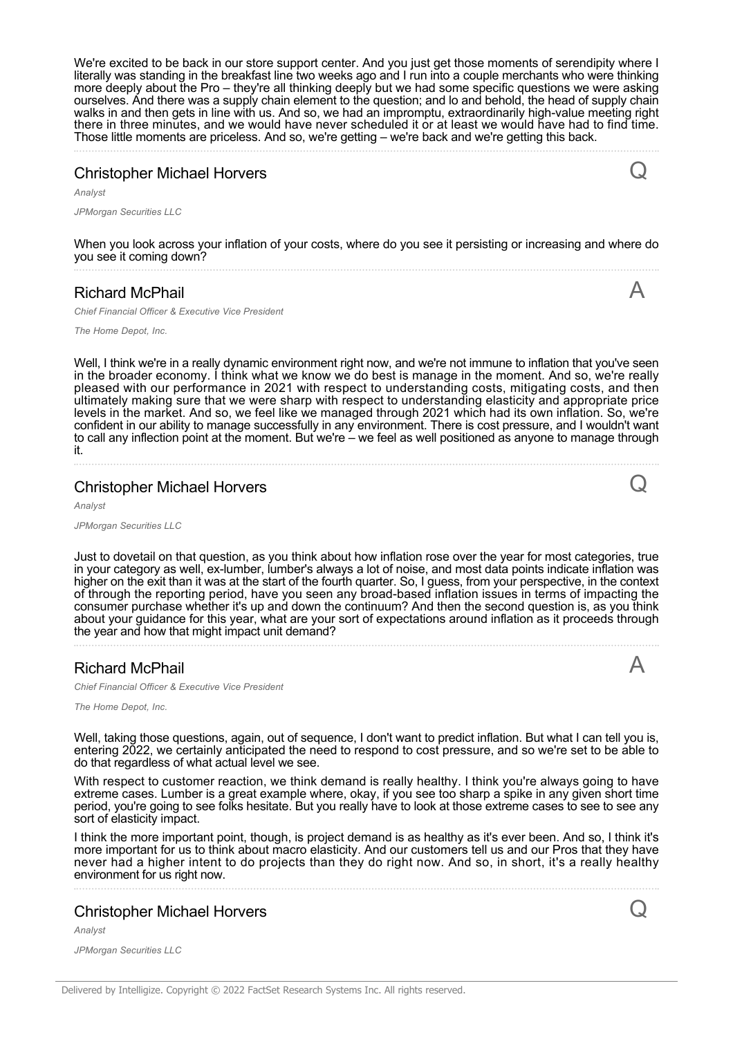We're excited to be back in our store support center. And you just get those moments of serendipity where I literally was standing in the breakfast line two weeks ago and I run into a couple merchants who were thinking more deeply about the Pro – they're all thinking deeply but we had some specific questions we were asking ourselves. And there was a supply chain element to the question; and lo and behold, the head of supply chain walks in and then gets in line with us. And so, we had an impromptu, extraordinarily high-value meeting right there in three minutes, and we would have never scheduled it or at least we would have had to find time. Those little moments are priceless. And so, we're getting – we're back and we're getting this back.

# Christopher Michael Horvers

*Analyst*

*JPMorgan Securities LLC*

When you look across your inflation of your costs, where do you see it persisting or increasing and where do you see it coming down?

# Richard McPhail

*Chief Financial Officer & Executive Vice President*

*The Home Depot, Inc.*

Well, I think we're in a really dynamic environment right now, and we're not immune to inflation that you've seen in the broader economy. I think what we know we do best is manage in the moment. And so, we're really pleased with our performance in 2021 with respect to understanding costs, mitigating costs, and then ultimately making sure that we were sharp with respect to understanding elasticity and appropriate price levels in the market. And so, we feel like we managed through 2021 which had its own inflation. So, we're confident in our ability to manage successfully in any environment. There is cost pressure, and I wouldn't want to call any inflection point at the moment. But we're – we feel as well positioned as anyone to manage through it.

# Christopher Michael Horvers

*Analyst*

*JPMorgan Securities LLC*

Just to dovetail on that question, as you think about how inflation rose over the year for most categories, true in your category as well, ex-lumber, lumber's always a lot of noise, and most data points indicate inflation was higher on the exit than it was at the start of the fourth quarter. So, I guess, from your perspective, in the context of through the reporting period, have you seen any broad-based inflation issues in terms of impacting the consumer purchase whether it's up and down the continuum? And then the second question is, as you think about your guidance for this year, what are your sort of expectations around inflation as it proceeds through the year and how that might impact unit demand?

### Richard McPhail

*Chief Financial Officer & Executive Vice President*

*The Home Depot, Inc.*

Well, taking those questions, again, out of sequence, I don't want to predict inflation. But what I can tell you is, entering 2022, we certainly anticipated the need to respond to cost pressure, and so we're set to be able to do that regardless of what actual level we see.

With respect to customer reaction, we think demand is really healthy. I think you're always going to have extreme cases. Lumber is a great example where, okay, if you see too sharp a spike in any given short time period, you're going to see folks hesitate. But you really have to look at those extreme cases to see to see any sort of elasticity impact.

I think the more important point, though, is project demand is as healthy as it's ever been. And so, I think it's more important for us to think about macro elasticity. And our customers tell us and our Pros that they have never had a higher intent to do projects than they do right now. And so, in short, it's a really healthy environment for us right now.

### Christopher Michael Horvers

*Analyst*

*JPMorgan Securities LLC*

Q



Q

 $\boldsymbol{\mathsf{A}}$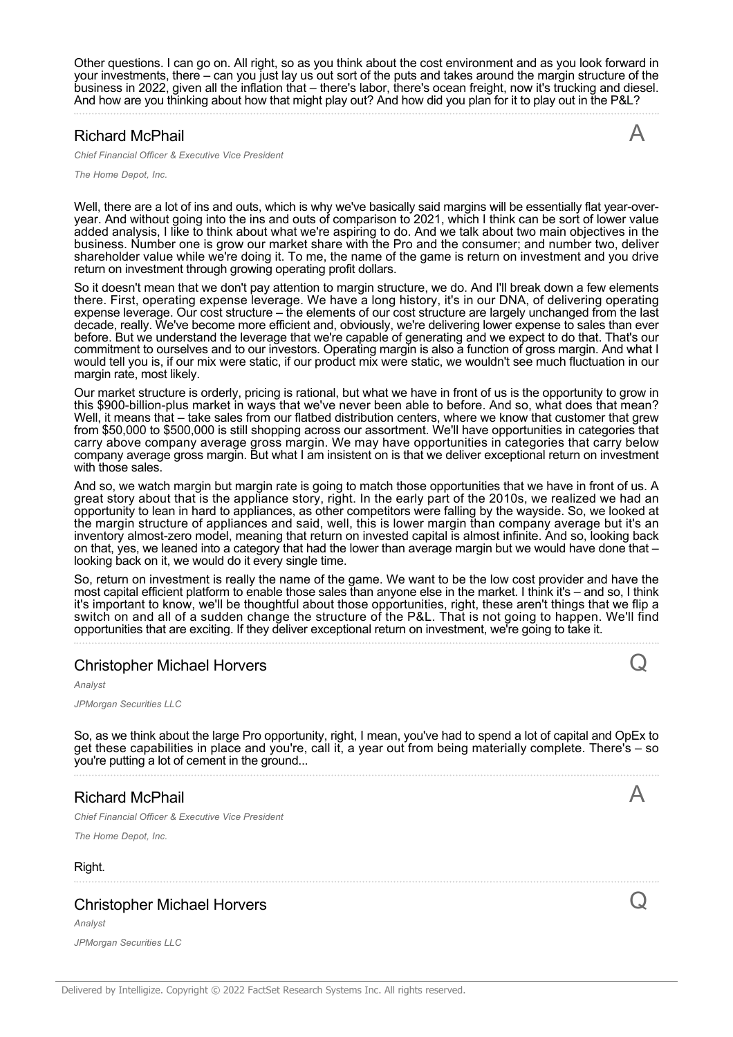Other questions. I can go on. All right, so as you think about the cost environment and as you look forward in your investments, there – can you just lay us out sort of the puts and takes around the margin structure of the business in 2022, given all the inflation that – there's labor, there's ocean freight, now it's trucking and diesel. And how are you thinking about how that might play out? And how did you plan for it to play out in the P&L?

# Richard McPhail

*Chief Financial Officer & Executive Vice President*

A

Q

A

Q

*The Home Depot, Inc.*

Well, there are a lot of ins and outs, which is why we've basically said margins will be essentially flat year-overyear. And without going into the ins and outs of comparison to 2021, which I think can be sort of lower value added analysis, I like to think about what we're aspiring to do. And we talk about two main objectives in the business. Number one is grow our market share with the Pro and the consumer; and number two, deliver shareholder value while we're doing it. To me, the name of the game is return on investment and you drive return on investment through growing operating profit dollars.

So it doesn't mean that we don't pay attention to margin structure, we do. And I'll break down a few elements there. First, operating expense leverage. We have a long history, it's in our DNA, of delivering operating expense leverage. Our cost structure – the elements of our cost structure are largely unchanged from the last decade, really. We've become more efficient and, obviously, we're delivering lower expense to sales than ever before. But we understand the leverage that we're capable of generating and we expect to do that. That's our commitment to ourselves and to our investors. Operating margin is also a function of gross margin. And what I would tell you is, if our mix were static, if our product mix were static, we wouldn't see much fluctuation in our margin rate, most likely.

Our market structure is orderly, pricing is rational, but what we have in front of us is the opportunity to grow in this \$900-billion-plus market in ways that we've never been able to before. And so, what does that mean? Well, it means that – take sales from our flatbed distribution centers, where we know that customer that grew from \$50,000 to \$500,000 is still shopping across our assortment. We'll have opportunities in categories that carry above company average gross margin. We may have opportunities in categories that carry below company average gross margin. But what I am insistent on is that we deliver exceptional return on investment with those sales

And so, we watch margin but margin rate is going to match those opportunities that we have in front of us. A great story about that is the appliance story, right. In the early part of the 2010s, we realized we had an opportunity to lean in hard to appliances, as other competitors were falling by the wayside. So, we looked at the margin structure of appliances and said, well, this is lower margin than company average but it's an inventory almost-zero model, meaning that return on invested capital is almost infinite. And so, looking back on that, yes, we leaned into a category that had the lower than average margin but we would have done that – looking back on it, we would do it every single time.

So, return on investment is really the name of the game. We want to be the low cost provider and have the most capital efficient platform to enable those sales than anyone else in the market. I think it's – and so, I think it's important to know, we'll be thoughtful about those opportunities, right, these aren't things that we flip a switch on and all of a sudden change the structure of the P&L. That is not going to happen. We'll find opportunities that are exciting. If they deliver exceptional return on investment, we're going to take it.

### Christopher Michael Horvers

*Analyst JPMorgan Securities LLC*

So, as we think about the large Pro opportunity, right, I mean, you've had to spend a lot of capital and OpEx to get these capabilities in place and you're, call it, a year out from being materially complete. There's – so you're putting a lot of cement in the ground...

### Richard McPhail

*Chief Financial Officer & Executive Vice President*

*The Home Depot, Inc.*

#### Right.

# Christopher Michael Horvers

*Analyst JPMorgan Securities LLC*

Delivered by Intelligize. Copyright © 2022 FactSet Research Systems Inc. All rights reserved.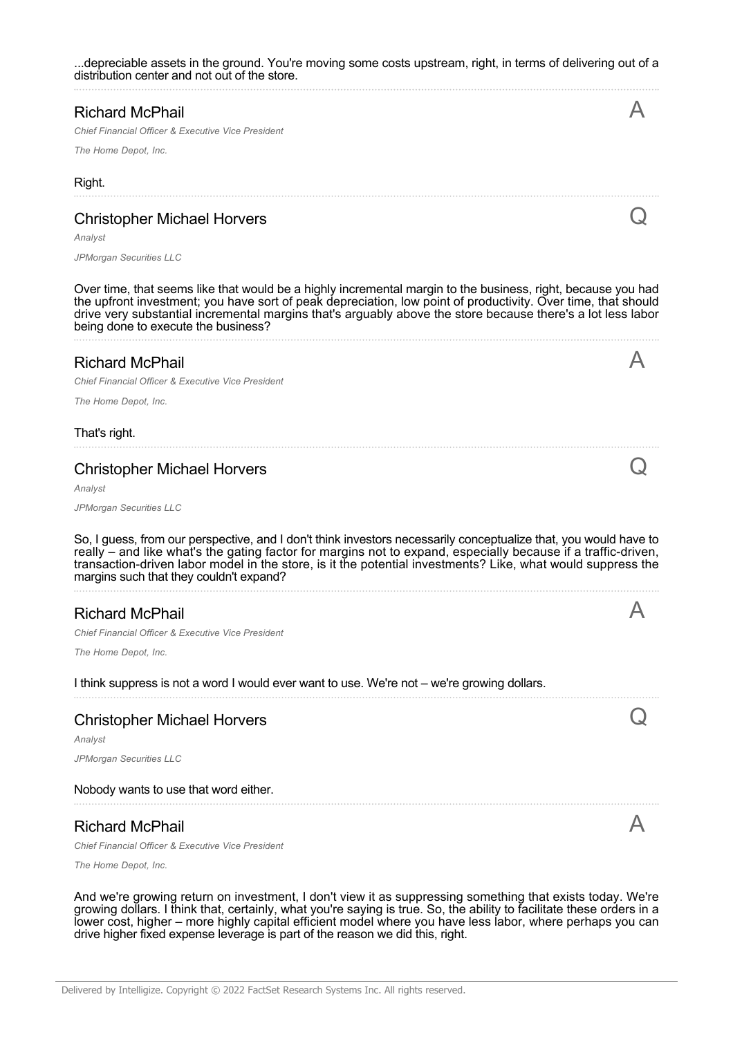...depreciable assets in the ground. You're moving some costs upstream, right, in terms of delivering out of a distribution center and not out of the store.

#### Richard McPhail

*Chief Financial Officer & Executive Vice President*

*The Home Depot, Inc.*

#### Right.

#### Christopher Michael Horvers

*Analyst*

*JPMorgan Securities LLC*

Over time, that seems like that would be a highly incremental margin to the business, right, because you had the upfront investment; you have sort of peak depreciation, low point of productivity. Over time, that should drive very substantial incremental margins that's arguably above the store because there's a lot less labor being done to execute the business?

#### Richard McPhail

*Chief Financial Officer & Executive Vice President*

*The Home Depot, Inc.*

#### That's right.

#### Christopher Michael Horvers

*Analyst*

*JPMorgan Securities LLC*

So, I guess, from our perspective, and I don't think investors necessarily conceptualize that, you would have to really – and like what's the gating factor for margins not to expand, especially because if a traffic-driven, transaction-driven labor model in the store, is it the potential investments? Like, what would suppress the margins such that they couldn't expand?

### Richard McPhail

*Chief Financial Officer & Executive Vice President*

*The Home Depot, Inc.*

I think suppress is not a word I would ever want to use. We're not – we're growing dollars.

### Christopher Michael Horvers

*Analyst*

*JPMorgan Securities LLC*

#### Nobody wants to use that word either.

#### Richard McPhail

*Chief Financial Officer & Executive Vice President*

*The Home Depot, Inc.*

And we're growing return on investment, I don't view it as suppressing something that exists today. We're growing dollars. I think that, certainly, what you're saying is true. So, the ability to facilitate these orders in a lower cost, higher – more highly capital efficient model where you have less labor, where perhaps you can drive higher fixed expense leverage is part of the reason we did this, right.

 $\boldsymbol{\mathsf{A}}$ 



A

 $\triangleright$ 

Q



 $\boldsymbol{\mathsf{A}}$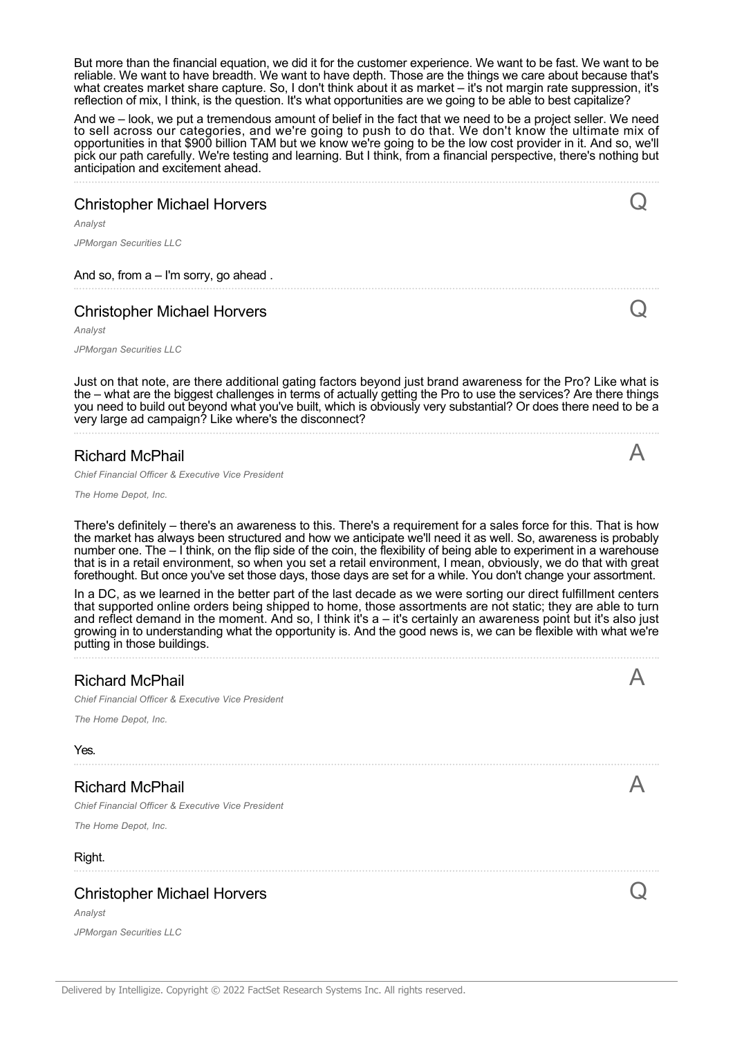But more than the financial equation, we did it for the customer experience. We want to be fast. We want to be reliable. We want to have breadth. We want to have depth. Those are the things we care about because that's what creates market share capture. So, I don't think about it as market – it's not margin rate suppression, it's reflection of mix, I think, is the question. It's what opportunities are we going to be able to best capitalize?

And we – look, we put a tremendous amount of belief in the fact that we need to be a project seller. We need to sell across our categories, and we're going to push to do that. We don't know the ultimate mix of opportunities in that \$900 billion TAM but we know we're going to be the low cost provider in it. And so, we'll pick our path carefully. We're testing and learning. But I think, from a financial perspective, there's nothing but anticipation and excitement ahead.

# Christopher Michael Horvers

*Analyst*

*JPMorgan Securities LLC*

And so, from a – I'm sorry, go ahead .

# Christopher Michael Horvers

*Analyst*

*JPMorgan Securities LLC*

Just on that note, are there additional gating factors beyond just brand awareness for the Pro? Like what is the – what are the biggest challenges in terms of actually getting the Pro to use the services? Are there things you need to build out beyond what you've built, which is obviously very substantial? Or does there need to be a very large ad campaign? Like where's the disconnect?

#### Richard McPhail

*Chief Financial Officer & Executive Vice President*

*The Home Depot, Inc.*

*JPMorgan Securities LLC*

There's definitely – there's an awareness to this. There's a requirement for a sales force for this. That is how the market has always been structured and how we anticipate we'll need it as well. So, awareness is probably number one. The – I think, on the flip side of the coin, the flexibility of being able to experiment in a warehouse that is in a retail environment, so when you set a retail environment, I mean, obviously, we do that with great forethought. But once you've set those days, those days are set for a while. You don't change your assortment.

In a DC, as we learned in the better part of the last decade as we were sorting our direct fulfillment centers that supported online orders being shipped to home, those assortments are not static; they are able to turn and reflect demand in the moment. And so, I think it's a – it's certainly an awareness point but it's also just growing in to understanding what the opportunity is. And the good news is, we can be flexible with what we're putting in those buildings.

| <b>Richard McPhail</b><br>Chief Financial Officer & Executive Vice President<br>The Home Depot, Inc.<br>Yes. |  |
|--------------------------------------------------------------------------------------------------------------|--|
| <b>Richard McPhail</b><br>Chief Financial Officer & Executive Vice President<br>The Home Depot, Inc.         |  |
| Right.                                                                                                       |  |
| <b>Christopher Michael Horvers</b><br>Analyst                                                                |  |

 $\boldsymbol{\mathsf{A}}$ 

Q